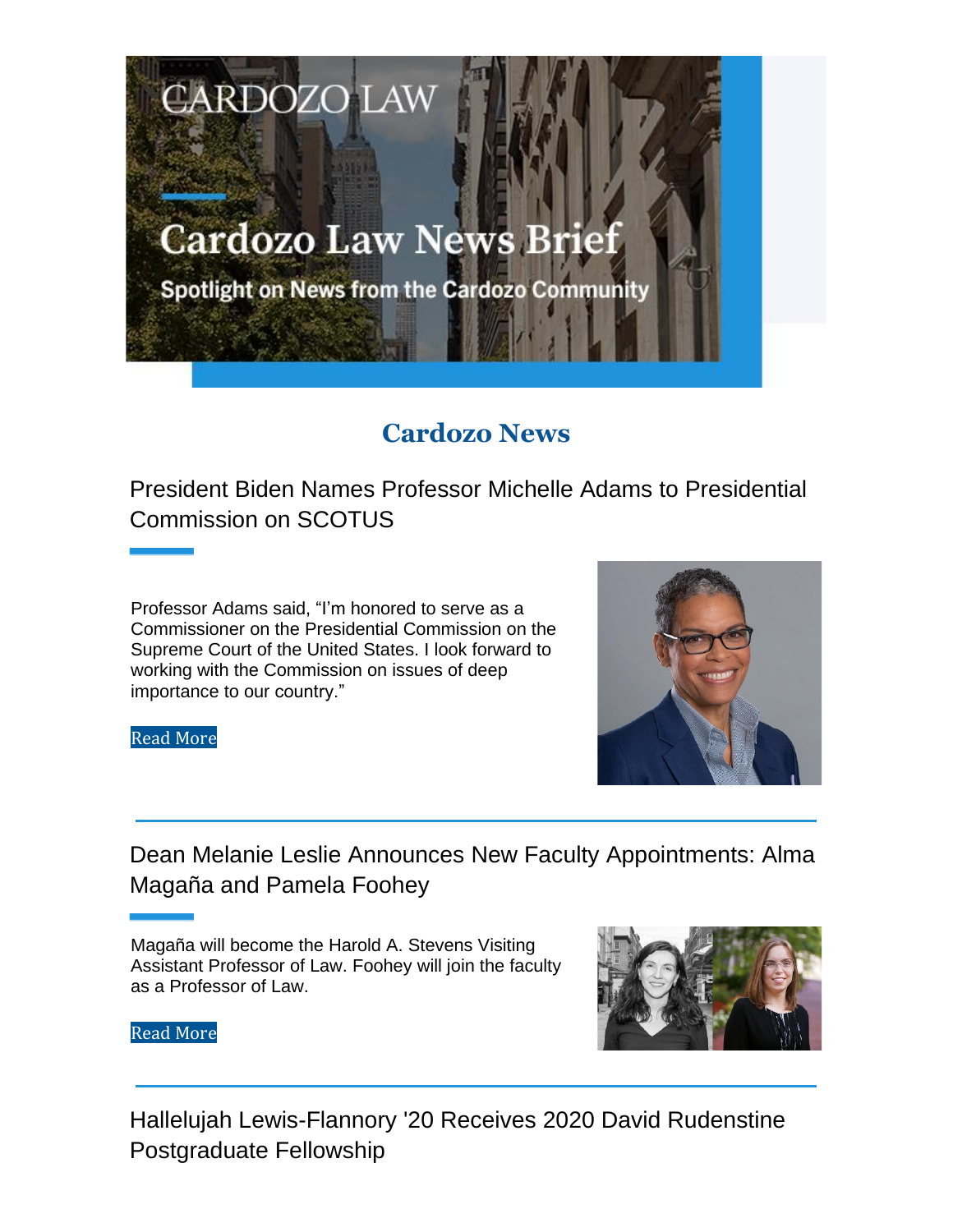# **Cardozo Law News Brief**

**CARDOZO LAW** 

Spotlight on News from the Cardozo Community

## **Cardozo News**

President Biden Names Professor Michelle Adams to Presidential Commission on SCOTUS

Professor Adams said, "I'm honored to serve as a Commissioner on the Presidential Commission on the Supreme Court of the United States. I look forward to working with the Commission on issues of deep importance to our country."



Read More

Dean Melanie Leslie Announces New Faculty Appointments: Alma Magaña and Pamela Foohey

Magaña will become the Harold A. Stevens Visiting Assistant Professor of Law. Foohey will join the faculty as a Professor of Law.



Read More

Hallelujah Lewis-Flannory '20 Receives 2020 David Rudenstine Postgraduate Fellowship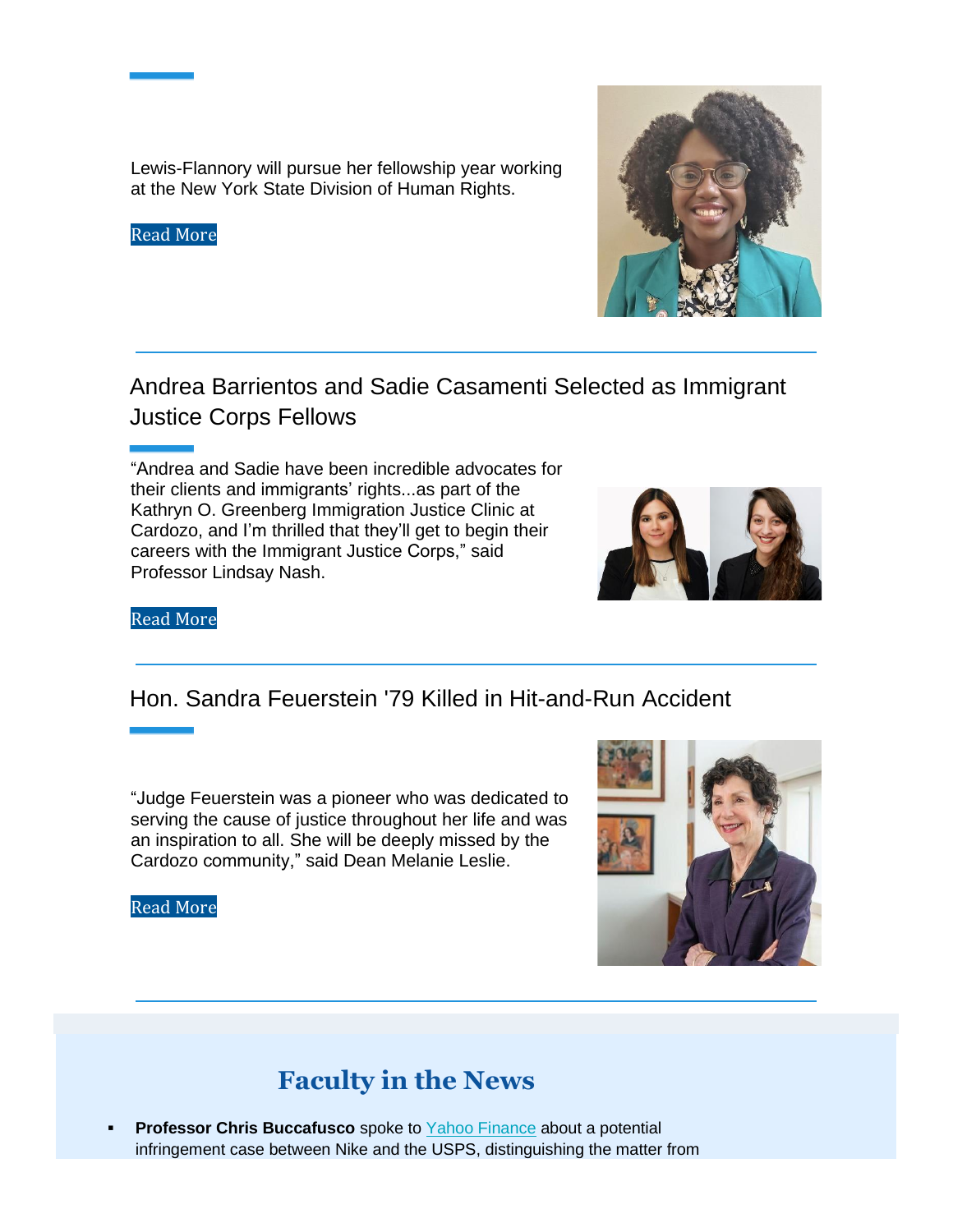Lewis-Flannory will pursue her fellowship year working at the New York State Division of Human Rights.

#### Read More

Andrea Barrientos and Sadie Casamenti Selected as Immigrant Justice Corps Fellows

"Andrea and Sadie have been incredible advocates for their clients and immigrants' rights...as part of the Kathryn O. Greenberg Immigration Justice Clinic at Cardozo, and I'm thrilled that they'll get to begin their careers with the Immigrant Justice Corps," said Professor Lindsay Nash.



### Hon. Sandra Feuerstein '79 Killed in Hit-and-Run Accident

"Judge Feuerstein was a pioneer who was dedicated to serving the cause of justice throughout her life and was an inspiration to all. She will be deeply missed by the Cardozo community," said Dean Melanie Leslie.

#### Read More



### **Faculty in the News**

**Professor Chris Buccafusco** spoke to Yahoo Finance about a potential infringement case between Nike and the USPS, distinguishing the matter from

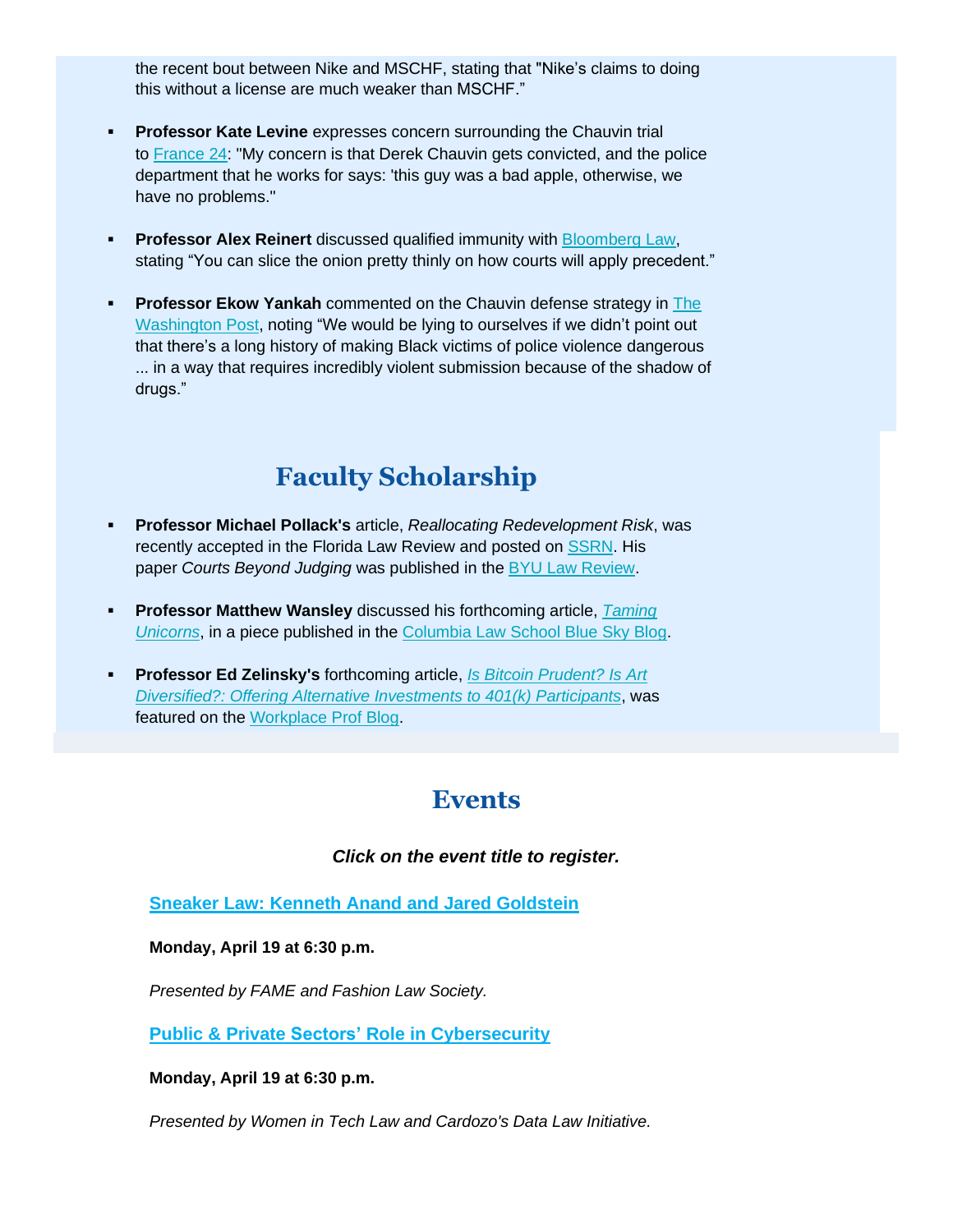the recent bout between Nike and MSCHF, stating that "Nike's claims to doing this without a license are much weaker than MSCHF."

- **Professor Kate Levine** expresses concern surrounding the Chauvin trial to **France 24:** "My concern is that Derek Chauvin gets convicted, and the police department that he works for says: 'this guy was a bad apple, otherwise, we have no problems."
- **Professor Alex Reinert** discussed qualified immunity with Bloomberg Law, stating "You can slice the onion pretty thinly on how courts will apply precedent."
- **Professor Ekow Yankah** commented on the Chauvin defense strategy in The Washington Post, noting "We would be lying to ourselves if we didn't point out that there's a long history of making Black victims of police violence dangerous ... in a way that requires incredibly violent submission because of the shadow of drugs."

### **Faculty Scholarship**

- **Professor Michael Pollack's** article, *Reallocating Redevelopment Risk*, was recently accepted in the Florida Law Review and posted on **SSRN**. His paper *Courts Beyond Judging* was published in the BYU Law Review.
- **Professor Matthew Wansley** discussed his forthcoming article, *Taming Unicorns*, in a piece published in the Columbia Law School Blue Sky Blog.
- **Professor Ed Zelinsky's** forthcoming article, *Is Bitcoin Prudent? Is Art Diversified?: Offering Alternative Investments to 401(k) Participants*, was featured on the Workplace Prof Blog.

### **Events**

#### *Click on the event title to register.*

**Sneaker Law: Kenneth Anand and Jared Goldstein**

#### **Monday, April 19 at 6:30 p.m.**

*Presented by FAME and Fashion Law Society.*

**Public & Private Sectors' Role in Cybersecurity**

**Monday, April 19 at 6:30 p.m.**

*Presented by Women in Tech Law and Cardozo's Data Law Initiative.*